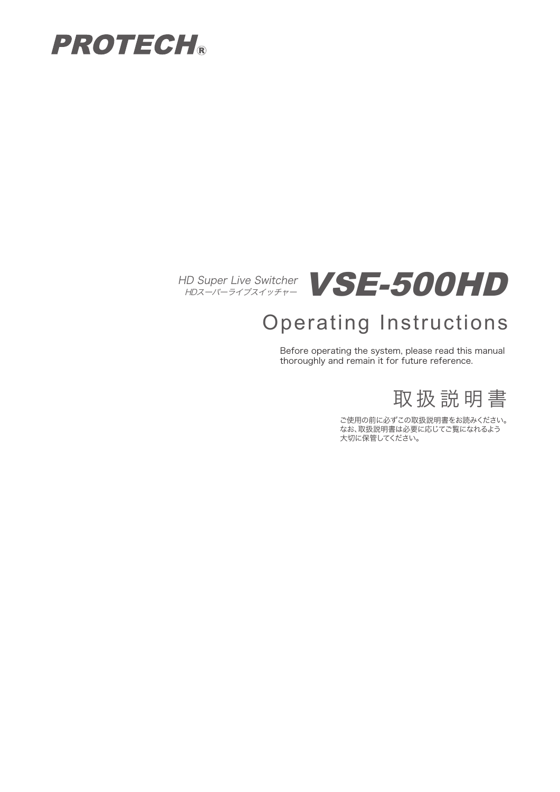





# Operating Instructions

Before operating the system, please read this manual thoroughly and remain it for future reference.

取 扱 説 明 書

ご使用の前に必ずこの取扱説明書をお読みください。 なお、取扱説明書は必要に応じてご覧になれるよう 大切に保管してください。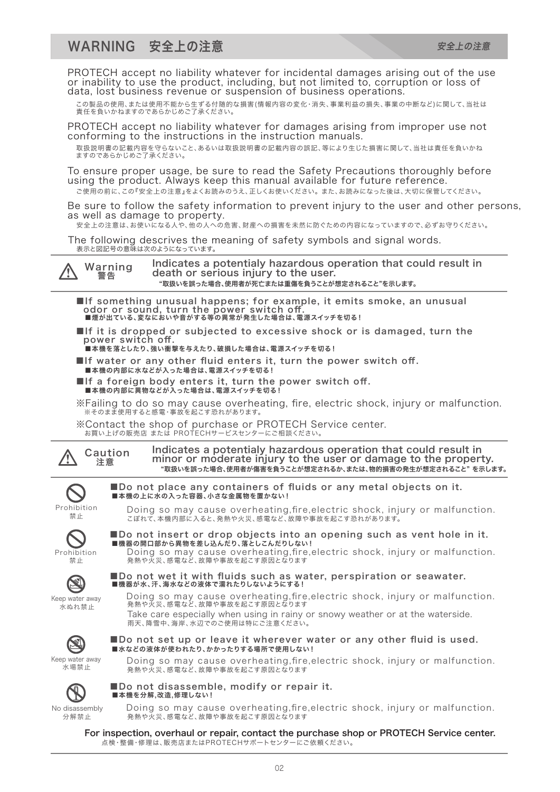PROTECH accept no liability whatever for incidental damages arising out of the use or inability to use the product, including, but not limited to, corruption or loss of data, lost business revenue or suspension of business operations.

この製品の使用、または使用不能から生ずる付随的な損害(情報内容の変化・消失、事業利益の損失、事業の中断など)に関して、当社は 責任を負いかねますのであらかじめご了承ください。

PROTECH accept no liability whatever for damages arising from improper use not conforming to the instructions in the instruction manuals.

取扱説明書の記載内容を守らないこと、あるいは取扱説明書の記載内容の誤記、等により生じた損害に関して、当社は責任を負いかね ますのであらかじめご了承ください。

To ensure proper usage, be sure to read the Safety Precautions thoroughly before using the product. Always keep this manual available for future reference. ご使用の前に、この『安全上の注意』をよくお読みのうえ、正しくお使いください。 また、お読みになった後は、大切に保管してください。

Be sure to follow the safety information to prevent injury to the user and other persons, as well as damage to property.

安全上の注意は、お使いになる人や、他の人への危害、財産への損害を未然に防ぐための内容になっていますので、必ずお守りください。

The following descrives the meaning of safety symbols and signal words. 表示と図記号の意味は次のようになっています。

Warning<br>警告 /!`

Indicates a potentialy hazardous operation that could result in death or serious injury to the user. "取扱いを誤った場合、使用者が死亡または重傷を負うことが想定されること"を示します。

■If something unusual happens; for example, it emits smoke, an unusual odor or sound, turn the power switch off. ■煙が出ている、変なにおいや音がする等の異常が発生した場合は、電源スイッチを切る!

- ■If it is dropped or subjected to excessive shock or is damaged, turn the power switch off.
- **■本機を落としたり、強い衝撃を与えたり、破損した場合は、電源スイッチを切る!**

■本機の上に水の入った容器、小さな金属物を置かない!

- ■If water or any other fluid enters it, turn the power switch off. ■本機の内部に水などが入った場合は、電源スイッチを切る!
- ■If a foreign body enters it, turn the power switch off. ■本機の内部に異物などが入った場合は、電源スイッチを切る!

※Failing to do so may cause overheating, fire, electric shock, injury or malfunction. ※そのまま使用すると感電・事故を起こす恐れがあります。

■Do not place any containers of fluids or any metal objects on it.

※Contact the shop of purchase or PROTECH Service center. お買い上げの販売店 または PROTECHサービスセンターにご相談ください。

■Do not disassemble, modify or repair it.

発熱や火災、感電など、故障や事故を起こす原因となります

発熱や火災、感電など、故障や事故を起こす原因となります

■水などの液体が使われたり、かかったりする場所で使用しない!

Indicates a potentialy hazardous operation that could result in minor or moderate injury to the user or damage to the property. "取扱いを誤った場合、使用者が傷害を負うことが想定されるか、または、物的損害の発生が想定されること" を示します。

Prohibition

**/\** 

Doing so may cause overheating,fire,electric shock, injury or malfunction. こぼれて、本機内部に入ると、発熱や火災、感電など、故障や事故を起こす恐れがあります。 禁止

Caution 注意



■Do not insert or drop objects into an opening such as vent hole in it. ■機器の開口部から異物を差し込んだり、落としこんだりしない!

Doing so may cause overheating,fire,electric shock, injury or malfunction. 発熱や火災、感電など、故障や事故を起こす原因となります



Keep water away 水ぬれ禁止

■Do not wet it with fluids such as water, perspiration or seawater.<br>■機器が水、汗、海水などの液体で濡れたりしないようにする!

■Do not set up or leave it wherever water or any other fluid is used.

Doing so may cause overheating,fire,electric shock, injury or malfunction. 発熱や火災、感電など、故障や事故を起こす原因となります Take care especially when using in rainy or snowy weather or at the waterside. 雨天、降雪中、海岸、水辺でのご使用は特にご注意ください。



Keep water away 水場禁止



Doing so may cause overheating,fire,electric shock, injury or malfunction. ■本機を分解,改造,修理しない!

Doing so may cause overheating,fire,electric shock, injury or malfunction.

For inspection, overhaul or repair, contact the purchase shop or PROTECH Service center. 点検・整備・修理は、販売店またはPROTECHサポートセンターにご依頼ください。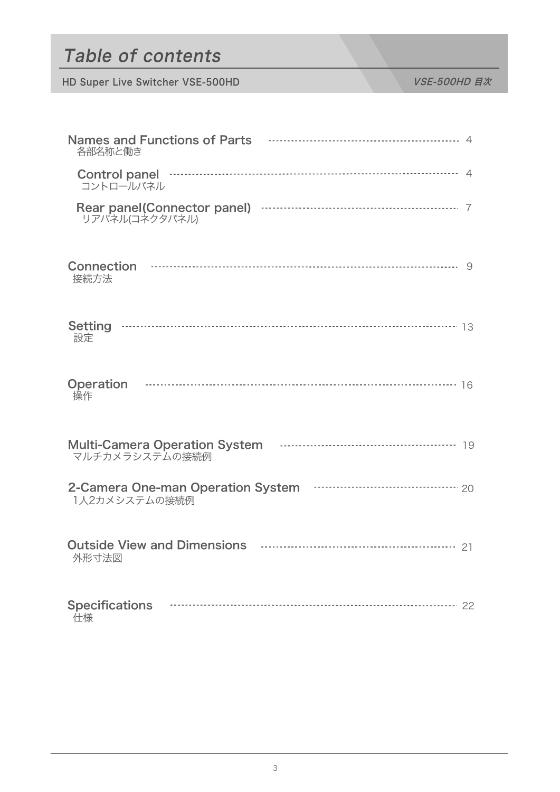# Table of contents

| 各部名称と働き                                         |
|-------------------------------------------------|
| Control panel manufactured and a 4<br>コントロールパネル |
| リアパネル(コネクタパネル)                                  |
| 接続方法                                            |
| 設定                                              |
| <b>Operation</b><br>操作                          |
| マルチカメラシステムの接続例                                  |
| 1人2カメシステムの接続例                                   |
| 外形寸法図                                           |
| <b>Specifications</b><br>仕様                     |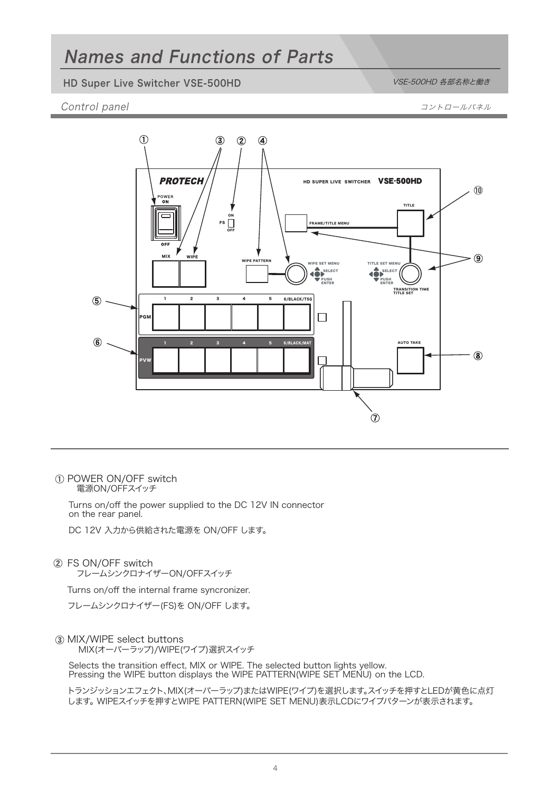## Names and Functions of Parts

### HD Super Live Switcher VSE-500HD VSE-500HD VSE-500HD 各部名称と働き

### Control panel 2008 - コントロールパネル アクセストロールパネル こうしゅうしゅう コントロールパネル



POWER ON/OFF switch 電源ON/OFFスイッチ

> Turns on/off the power supplied to the DC 12V IN connector on the rear panel.

DC 12V 入力から供給された電源を ON/OFF します。

FS ON/OFF switch

フレームシンクロナイザーON/OFFスイッチ

Turns on/off the internal frame syncronizer.

フレームシンクロナイザー(FS)を ON/OFF します。

### MIX/WIPE select buttons

MIX(オーバーラップ)/WIPE(ワイプ)選択スイッチ

Selects the transition effect, MIX or WIPE. The selected button lights yellow. Pressing the WIPE button displays the WIPE PATTERN(WIPE SET MENU) on the LCD.

トランジッションエフェクト、MIX(オーバーラップ)またはWIPE(ワイプ)を選択します。スイッチを押すとLEDが黄色に点灯 します。 WIPEスイッチを押すとWIPE PATTERN(WIPE SET MENU)表示LCDにワイプパターンが表示されます。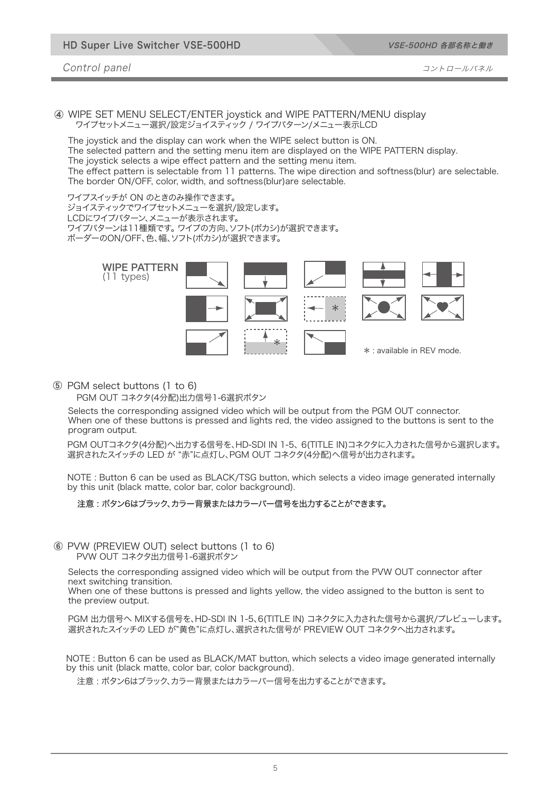HD Super Live Switcher VSE-500HD

VSE-500HD 各部名称と働き

Control panel コントロールパネル

WIPE SET MENU SELECT/ENTER joystick and WIPE PATTERN/MENU display ワイプセットメニュー選択/設定ジョイスティック / ワイプパターン/メニュー表示LCD

The joystick and the display can work when the WIPE select button is ON. The selected pattern and the setting menu item are displayed on the WIPE PATTERN display. The joystick selects a wipe effect pattern and the setting menu item. The effect pattern is selectable from 11 patterns. The wipe direction and softness(blur) are selectable.

The border ON/OFF, color, width, and softness(blur)are selectable.

ワイプスイッチが ON のときのみ操作できます。

ジョイスティックでワイプセットメニューを選択/設定します。

LCDにワイプパターン、メニューが表示されます。 ワイプパターンは11種類です。 ワイプの方向、ソフト(ボカシ)が選択できます。

ボーダーのON/OFF、色、幅、ソフト(ボカシ)が選択できます。



#### PGM select buttons (1 to 6)

PGM OUT コネクタ(4分配)出力信号1-6選択ボタン

Selects the corresponding assigned video which will be output from the PGM OUT connector. When one of these buttons is pressed and lights red, the video assigned to the buttons is sent to the program output.

PGM OUTコネクタ(4分配)へ出力する信号を、HD-SDI IN 1-5、 6(TITLE IN)コネクタに入力された信号から選択します。 選択されたスイッチの LED が "赤"に点灯し、PGM OUT コネクタ(4分配)へ信号が出力されます。

NOTE : Button 6 can be used as BLACK/TSG button, which selects a video image generated internally by this unit (black matte, color bar, color background).

#### 注意 : ボタン6はブラック、カラー背景またはカラーバー信号を出力することができます。

#### PVW (PREVIEW OUT) select buttons (1 to 6) PVW OUT コネクタ出力信号1-6選択ボタン

Selects the corresponding assigned video which will be output from the PVW OUT connector after next switching transition.

When one of these buttons is pressed and lights yellow, the video assigned to the button is sent to the preview output.

PGM 出力信号へ MIXする信号を、HD-SDI IN 1-5、6(TITLE IN) コネクタに入力された信号から選択/プレビューします。 選択されたスイッチの LED が"黄色"に点灯し、選択された信号が PREVIEW OUT コネクタへ出力されます。

NOTE : Button 6 can be used as BLACK/MAT button, which selects a video image generated internally by this unit (black matte, color bar, color background).

注意 : ボタン6はブラック、カラー背景またはカラーバー信号を出力することができます。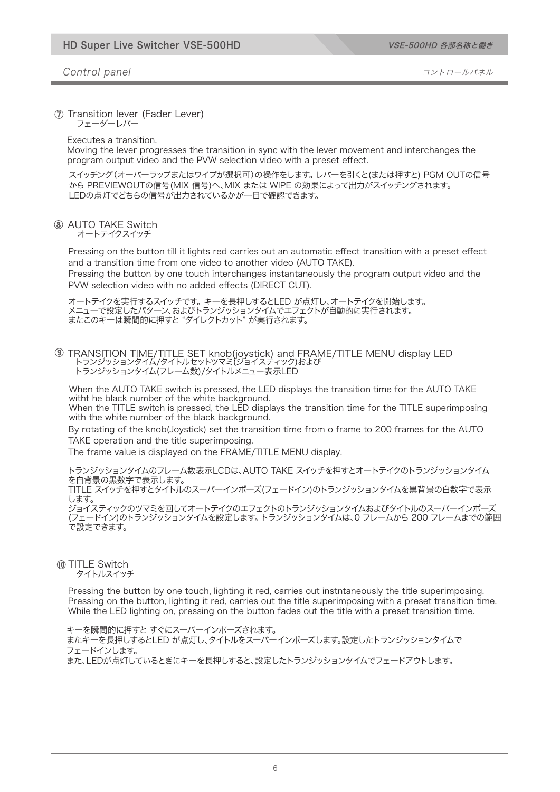#### Control panel 2008 - コントロールパネル

#### Transition lever (Fader Lever)

フェーダーレバー

Executes a transition.

Moving the lever progresses the transition in sync with the lever movement and interchanges the program output video and the PVW selection video with a preset effect.

スイッチング(オーバーラップまたはワイプが選択可)の操作をします。 レバーを引くと(または押すと) PGM OUTの信号 から PREVIEWOUTの信号(MIX 信号)へ、MIX または WIPE の効果によって出力がスイッチングされます。 LEDの点灯でどちらの信号が出力されているかが一目で確認できます。

#### AUTO TAKE Switch

オートテイクスイッチ

Pressing on the button till it lights red carries out an automatic effect transition with a preset effect and a transition time from one video to another video (AUTO TAKE).

Pressing the button by one touch interchanges instantaneously the program output video and the PVW selection video with no added effects (DIRECT CUT).

オートテイクを実行するスイッチです。 キーを長押しするとLED が点灯し、オートテイクを開始します。 メニューで設定したパターン、およびトランジッションタイムでエフェクトが自動的に実行されます。 またこのキーは瞬間的に押すと "ダイレクトカット" が実行されます。

#### TRANSITION TIME/TITLE SET knob(joystick) and FRAME/TITLE MENU display LED トランジッションタイム/タイトルセットツマミ(ジョイスティック)および トランジッションタイム(フレーム数)/タイトルメニュー表示LED

When the AUTO TAKE switch is pressed, the LED displays the transition time for the AUTO TAKE witht he black number of the white background.

When the TITLE switch is pressed, the LED displays the transition time for the TITLE superimposing with the white number of the black background.

By rotating of the knob(Joystick) set the transition time from o frame to 200 frames for the AUTO TAKE operation and the title superimposing.

The frame value is displayed on the FRAME/TITLE MENU display.

トランジッションタイムのフレーム数表示LCDは、AUTO TAKE スイッチを押すとオートテイクのトランジッションタイム を白背景の黒数字で表示します。

TITLE スイッチを押すとタイトルのスーパーインポーズ(フェードイン)のトランジッションタイムを黒背景の白数字で表示 します。

ジョイスティックのツマミを回してオートテイクのエフェクトのトランジッションタイムおよびタイトルのスーパーインポーズ (フェードイン)のトランジッションタイムを設定します。 トランジッションタイムは、0 フレームから 200 フレームまでの範囲 で設定できます。

#### 10 TITLE Switch タイトルスイッチ

Pressing the button by one touch, lighting it red, carries out instntaneously the title superimposing. Pressing on the button, lighting it red, carries out the title superimposing with a preset transition time. While the LED lighting on, pressing on the button fades out the title with a preset transition time.

キーを瞬間的に押すと すぐにスーパーインポーズされます。 またキーを長押しするとLED が点灯し、タイトルをスーパーインポーズします。設定したトランジッションタイムで フェードインします。 また、LEDが点灯しているときにキーを長押しすると、設定したトランジッションタイムでフェードアウトします。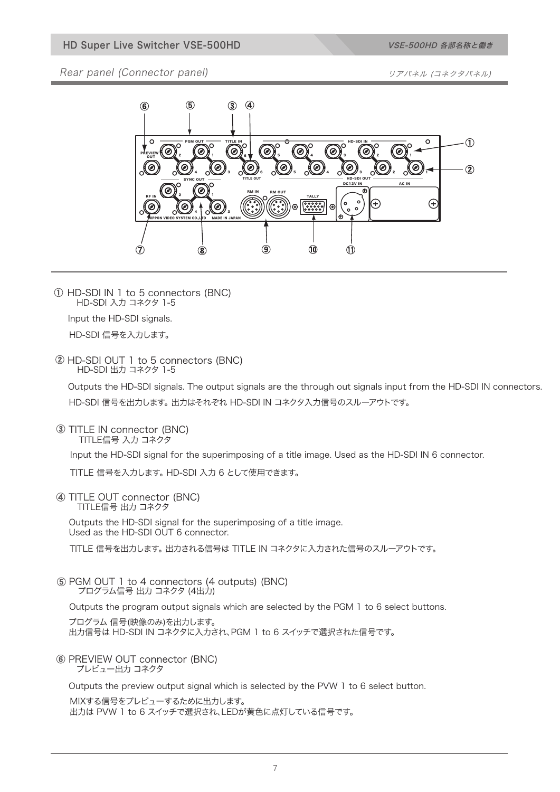Rear panel (Connector panel) and the state of the state of the state of the state of the state of the state of the state of the state of the state of the state of the state of the state of the state of the state of the sta



HD-SDI IN 1 to 5 connectors (BNC) HD-SDI 入力 コネクタ 1-5

Input the HD-SDI signals.

HD-SDI 信号を入力します。

HD-SDI OUT 1 to 5 connectors (BNC) HD-SDI 出力 コネクタ 1-5

Outputs the HD-SDI signals. The output signals are the through out signals input from the HD-SDI IN connectors. HD-SDI 信号を出力します。 出力はそれぞれ HD-SDI IN コネクタ入力信号のスルーアウトです。

**3 TITLE IN connector (BNC)** TITLE信号 入力 コネクタ

Input the HD-SDI signal for the superimposing of a title image. Used as the HD-SDI IN 6 connector.

TITLE 信号を入力します。 HD-SDI 入力 6 として使用できます。

TITLE OUT connector (BNC) TITLE信号 出力 コネクタ

Outputs the HD-SDI signal for the superimposing of a title image. Used as the HD-SDI OUT 6 connector.

TITLE 信号を出力します。 出力される信号は TITLE IN コネクタに入力された信号のスルーアウトです。

PGM OUT 1 to 4 connectors (4 outputs) (BNC) プログラム信号 出力 コネクタ (4出力)

Outputs the program output signals which are selected by the PGM 1 to 6 select buttons.

プログラム 信号(映像のみ)を出力します。 出力信号は HD-SDI IN コネクタに入力され、PGM 1 to 6 スイッチで選択された信号です。

PREVIEW OUT connector (BNC) プレビュー出力 コネクタ

Outputs the preview output signal which is selected by the PVW 1 to 6 select button.

MIXする信号をプレビューするために出力します。 出力は PVW 1 to 6 スイッチで選択され、LEDが黄色に点灯している信号です。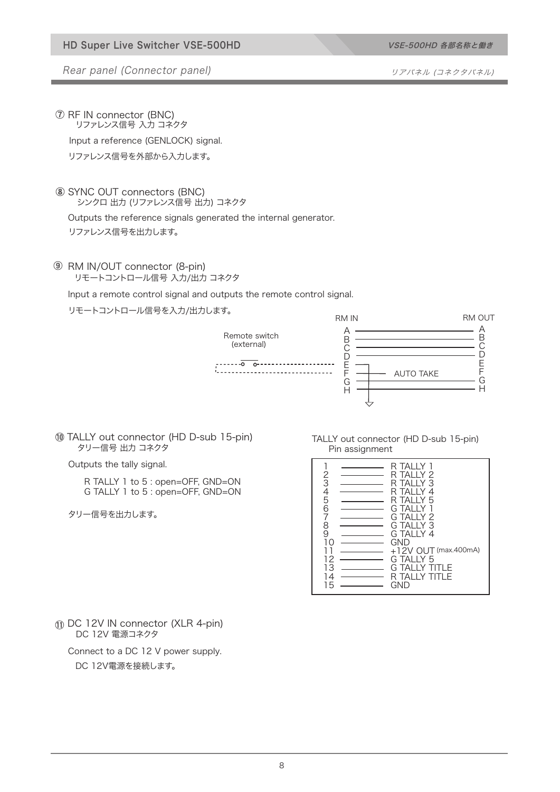Rear panel (Connector panel) and the state of the state of the state of the state of the state of the state of the state of the state of the state of the state of the state of the state of the state of the state of the sta

RF IN connector (BNC) リファレンス信号 入力 コネクタ

Input a reference (GENLOCK) signal.

リファレンス信号を外部から入力します。

### SYNC OUT connectors (BNC)

シンクロ 出力 (リファレンス信号 出力) コネクタ

### Outputs the reference signals generated the internal generator.

リファレンス信号を出力します。

## RM IN/OUT connector (8-pin)

リモートコントロール信号 入力/出力 コネクタ

Input a remote control signal and outputs the remote control signal.

リモートコントロール信号を入力/出力します。



TALLY out connector (HD D-sub 15-pin) タリー信号 出力 コネクタ

Outputs the tally signal.

R TALLY 1 to 5 : open=OFF, GND=ON G TALLY 1 to 5 : open=OFF, GND=ON

タリー信号を出力します。

#### TALLY out connector (HD D-sub 15-pin) Pin assignment

| <b>TALLY</b><br>R<br>2<br>3<br>4<br>5<br>TAI I Y <i>?</i><br>R<br>TAI I Y 3<br>к<br>TAI I Y 4<br>R<br>TAI I Y 5<br>R<br>6<br><b>TALLY</b><br>G<br>7<br>TAI IY <sub>2</sub><br>G<br>8<br>$G$ TAI I Y 3<br>9<br>G TAI I Y 4<br>GND<br>+12V OUT (max.400mA)<br>G TAI I Y 5<br>2<br>13<br>TAI I Y<br>G<br>ΙF<br><b>TALLY</b><br>ΠF<br>4<br>R<br>15<br>GND |
|-------------------------------------------------------------------------------------------------------------------------------------------------------------------------------------------------------------------------------------------------------------------------------------------------------------------------------------------------------|
|-------------------------------------------------------------------------------------------------------------------------------------------------------------------------------------------------------------------------------------------------------------------------------------------------------------------------------------------------------|

DC 12V IN connector (XLR 4-pin) DC 12V 電源コネクタ

Connect to a DC 12 V power supply.

DC 12V電源を接続します。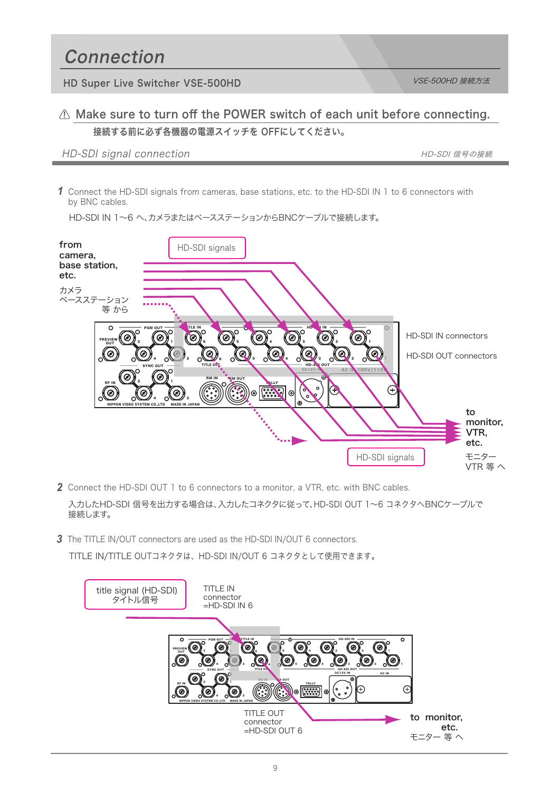## Connection

HD Super Live Switcher VSE-500HD VSE-500HD VSE-500HD 按続方法

## A Make sure to turn off the POWER switch of each unit before connecting. 接続する前に必ず各機器の電源スイッチを OFFにしてください。

### HD-SDI signal connection and the state of the state of the HD-SDI 信号の接続

Connect the HD-SDI signals from cameras, base stations, etc. to the HD-SDI IN 1 to 6 connectors with *1* by BNC cables.



HD-SDI IN 1~6 へ、カメラまたはベースステーションからBNCケーブルで接続します。

*2* Connect the HD-SDI OUT 1 to 6 connectors to a monitor, a VTR, etc. with BNC cables.

入力したHD-SDI 信号を出力する場合は、入力したコネクタに従って、HD-SDI OUT 1~6 コネクタへBNCケーブルで 接続します。

*3* The TITLE IN/OUT connectors are used as the HD-SDI IN/OUT 6 connectors.

TITLE IN/TITLE OUTコネクタは、HD-SDI IN/OUT 6 コネクタとして使用できます。

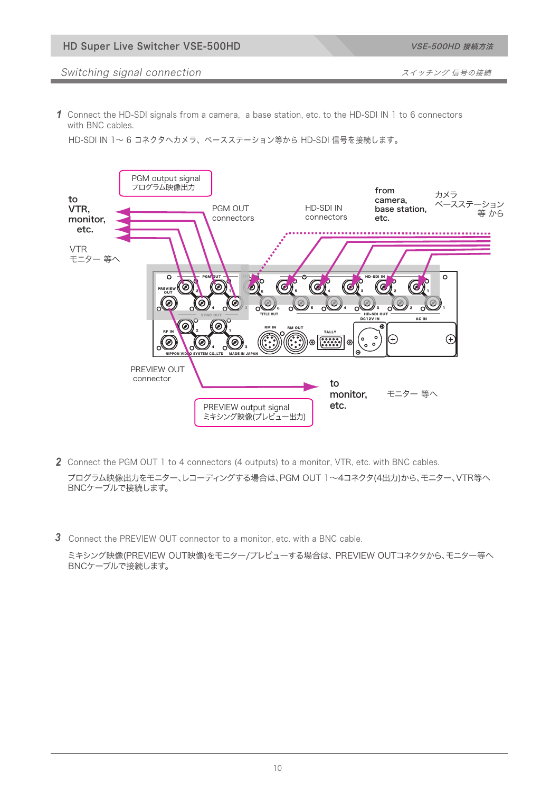#### Switching signal connection **National State of The Switching State of The Switching** スイッチング 信号の接続

*1* Connect the HD-SDI signals from a camera, a base station, etc. to the HD-SDI IN 1 to 6 connectors with BNC cables.

HD-SDI IN 1~ 6 コネクタへカメラ、ベースステーション等から HD-SDI 信号を接続します。



- プログラム映像出力をモニター、レコーディングする場合は、PGM OUT 1~4コネクタ(4出力)から、モニター、VTR等へ BNCケーブルで接続します。 2 Connect the PGM OUT 1 to 4 connectors (4 outputs) to a monitor, VTR, etc. with BNC cables.
- Connect the PREVIEW OUT connector to a monitor, etc. with a BNC cable. *3*

ミキシング映像(PREVIEW OUT映像)をモニター/プレビューする場合は、 PREVIEW OUTコネクタから、モニター等へ BNCケーブルで接続します。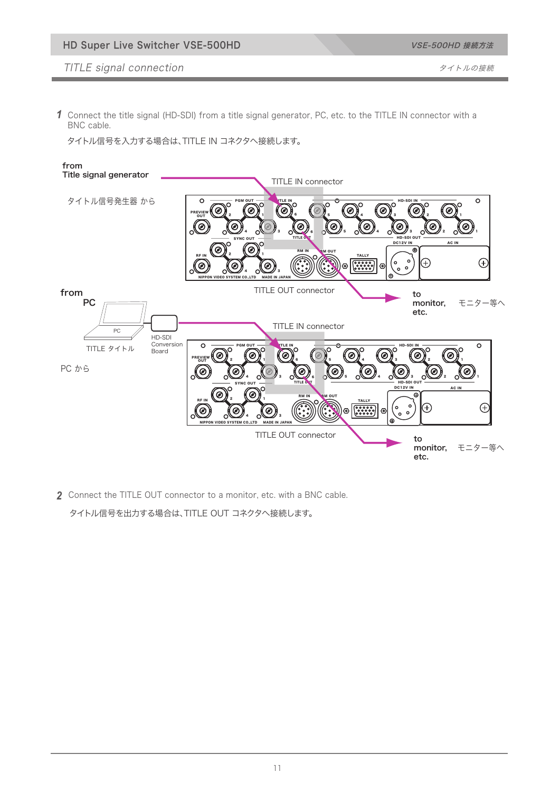Connect the title signal (HD-SDI) from a title signal generator, PC, etc. to the TITLE IN connector with a *1* BNC cable.

タイトル信号を入力する場合は、TITLE IN コネクタへ接続します。



*2* Connect the TITLE OUT connector to a monitor, etc. with a BNC cable.

タイトル信号を出力する場合は、TITLE OUT コネクタへ接続します。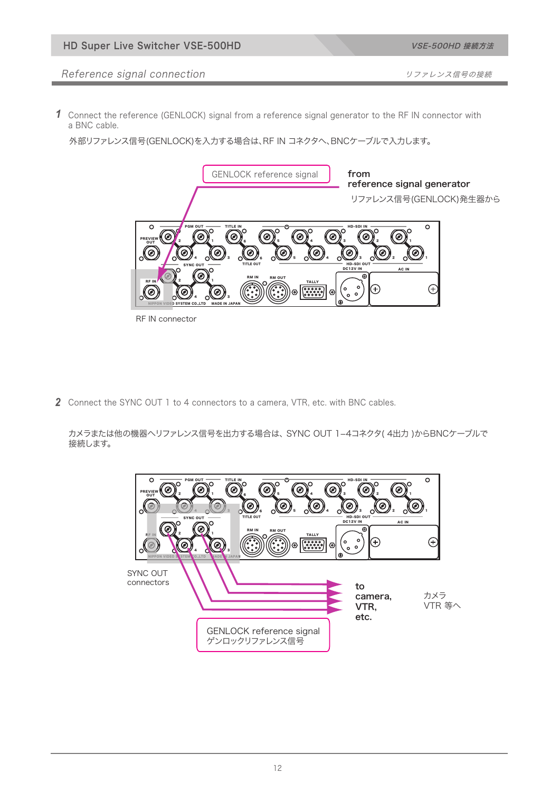### Reference signal connection **connection** and the state of the state of the state of the state of the state of th

Connect the reference (GENLOCK) signal from a reference signal generator to the RF IN connector with *1* a BNC cable.

外部リファレンス信号(GENLOCK)を入力する場合は、RF IN コネクタへ、BNCケーブルで入力します。



RF IN connector

2 Connect the SYNC OUT 1 to 4 connectors to a camera, VTR, etc. with BNC cables.

カメラまたは他の機器へリファレンス信号を出力する場合は、 SYNC OUT 1-4コネクタ( 4出力 )からBNCケーブルで 接続します。

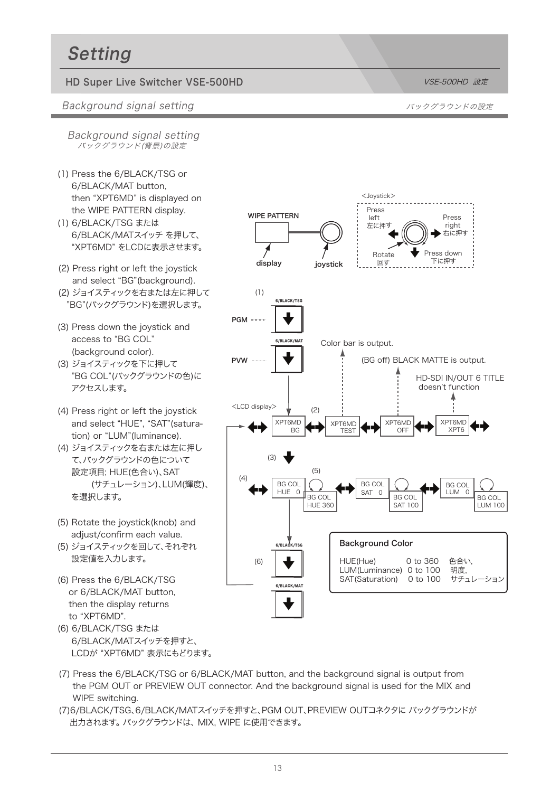# Setting

### HD Super Live Switcher VSE-500HD Notified National State of National State of National State of National State o

#### Background signal setting いちゃく しゅうしゃ しゅうしゃ スペックグラウンドの設定

Background signal setting バックグラウンド(背景)の設定

- (1) Press the 6/BLACK/TSG or 6/BLACK/MAT button, then "XPT6MD" is displayed on the WIPE PATTERN display.
- (1) 6/BLACK/TSG または 6/BLACK/MATスイッチ を押して、 "XPT6MD" をLCDに表示させます。
- (2) Press right or left the joystick and select "BG"(background).
- (2) ジョイスティックを右または左に押して "BG"(バックグラウンド)を選択します。
- (3) Press down the joystick and access to "BG COL" (background color).
- (3) ジョイスティックを下に押して "BG COL"(バックグラウンドの色)に アクセスします。
- (4) Press right or left the joystick and select "HUE", "SAT"(satura tion) or "LUM"(luminance).
- (4) ジョイスティックを右または左に押し て、バックグラウンドの色について 設定項目; HUE(色合い)、SAT (サチュレーション)、LUM(輝度)、 を選択します。
- (5) Rotate the joystick(knob) and adjust/confirm each value.
- (5) ジョイスティックを回して、それぞれ 設定値を入力します。
- (6) Press the 6/BLACK/TSG or 6/BLACK/MAT button, then the display returns to "XPT6MD".
- (6) 6/BLACK/TSG または 6/BLACK/MATスイッチを押すと、 LCDが "XPT6MD" 表示にもどります。
- Press left 左に押す Press down 下に押す Press right 右に押す BG COL HUE 360 BG COL SAT 100 BG COL LUM 100 <LCD display> <Joystick> Rotate 回す Background Color HUE(Hue) 0 to 360 色合い,<br>LUM(Luminance) 0 to 100 明度, LUM(Luminance) 0 to 100 明度,<br>SAT(Saturation) 0 to 100 サチュレーション SAT(Saturation) 0 to 100 6/BLACK/TSG XPT6MD BG 6/BLACK/MAT (1) (2) (3)  $(4)$ (5) 6/BLACK/TSG 6/BLACK/MAT (6) BG COL  $HUE$  0 BG COL SAT 0 BG COL LUM<sub>0</sub> XPT6MD TEST XPT6MD  $OFE$ Color bar is output. (BG off) BLACK MATTE is output. XPT6MD XPT6 HD-SDI IN/OUT 6 TITLE doesn't function WIPE PATTERN display iovstick **PGM ----**PVW
- (7) Press the 6/BLACK/TSG or 6/BLACK/MAT button, and the background signal is output from the PGM OUT or PREVIEW OUT connector. And the background signal is used for the MIX and WIPE switching.
- (7)6/BLACK/TSG、6/BLACK/MATスイッチを押すと、PGM OUT、PREVIEW OUTコネクタに バックグラウンドが 出力されます。 バックグラウンドは、 MIX, WIPE に使用できます。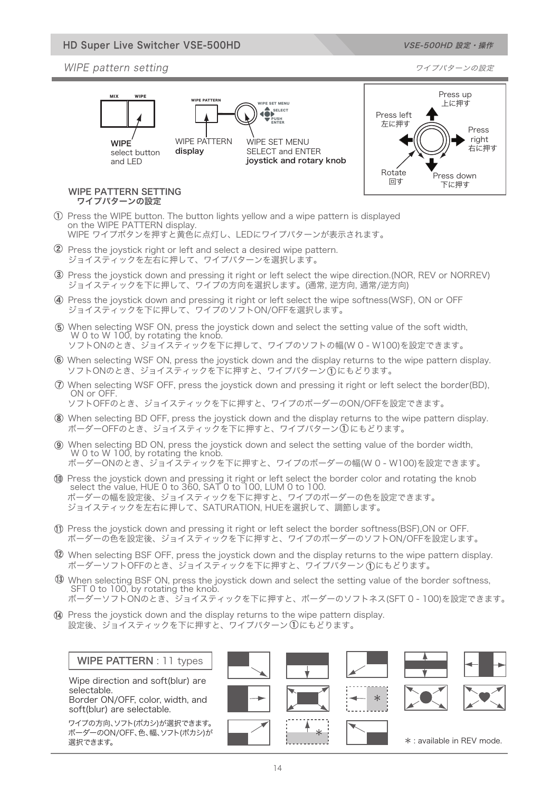#### HD Super Live Switcher VSE-500HD

#### WIPE pattern setting フィブパターンの設定

MIX WIPE

**WIPF** select button and LED







#### WIPE PATTERN SETTING ワイプパターンの設定

Press the WIPE button. The button lights yellow and a wipe pattern is displayed on the WIPE PATTERN display. WIPE ワイプボタンを押すと黄色に点灯し、LEDにワイプパターンが表示されます。

2 Press the joystick right or left and select a desired wipe pattern. ジョイスティックを左右に押して、ワイプパターンを選択します。

display

- Press the joystick down and pressing it right or left select the wipe direction.(NOR, REV or NORREV) ジョイスティックを下に押して、ワイプの方向を選択します。(通常, 逆方向, 通常/逆方向)
- Press the joystick down and pressing it right or left select the wipe softness(WSF), ON or OFF ジョイスティックを下に押して、ワイプのソフトON/OFFを選択します。
- When selecting WSF ON, press the joystick down and select the setting value of the soft width, W 0 to W 100, by rotating the knob.
- ソフトONのとき、ジョイスティックを下に押して、ワイプのソフトの幅(W 0 W100)を設定できます。
- When selecting WSF ON, press the joystick down and the display returns to the wipe pattern display. ソフトONのとき、ジョイスティックを下に押すと、ワイプパターン にもどります。
- When selecting WSF OFF, press the joystick down and pressing it right or left select the border(BD), ON or OFF. ソフトOFFのとき、ジョイスティックを下に押すと、ワイプのボーダーのON/OFFを設定できます。
- When selecting BD OFF, press the joystick down and the display returns to the wipe pattern display.
- ボーダーOFFのとき、ジョイスティックを下に押すと、ワイプパターン にもどります。
- When selecting BD ON, press the joystick down and select the setting value of the border width, W 0 to W 100, by rotating the knob. ボーダーONのとき、ジョイスティックを下に押すと、ワイプのボーダーの幅(W 0 - W100)を設定できます。
- Press the joystick down and pressing it right or left select the border color and rotating the knob select the value, HUE 0 to 360, SAT 0 to 100, LUM 0 to 100. ボーダーの幅を設定後、ジョイスティックを下に押すと、ワイプのボーダーの色を設定できます。 ジョイスティックを左右に押して、SATURATION, HUEを選択して、調節します。
- Press the joystick down and pressing it right or left select the border softness(BSF),ON or OFF. ボーダーの色を設定後、ジョイスティックを下に押すと、ワイプのボーダーのソフトON/OFFを設定します。
- When selecting BSF OFF, press the joystick down and the display returns to the wipe pattern display. ボーダーソフトOFFのとき、ジョイスティックを下に押すと、ワイプパターン にもどります。
- When selecting BSF ON, press the joystick down and select the setting value of the border softness, SFT 0 to 100, by rotating the knob. ボーダーソフトONのとき、ジョイスティックを下に押すと、ボーダーのソフトネス(SFT 0 - 100)を設定できます。
- Press the joystick down and the display returns to the wipe pattern display. 設定後、ジョイスティックを下に押すと、ワイプパターン(1)にもどります。

#### WIPE PATTERN : 11 types

Wipe direction and soft(blur) are selectable. Border ON/OFF, color, width, and

soft(blur) are selectable.

ワイプの方向、ソフト(ボカシ)が選択できます。 ボーダーのON/OFF、色、幅、ソフト(ボカシ)が 選択できます。





\*





#### \* : available in REV mode.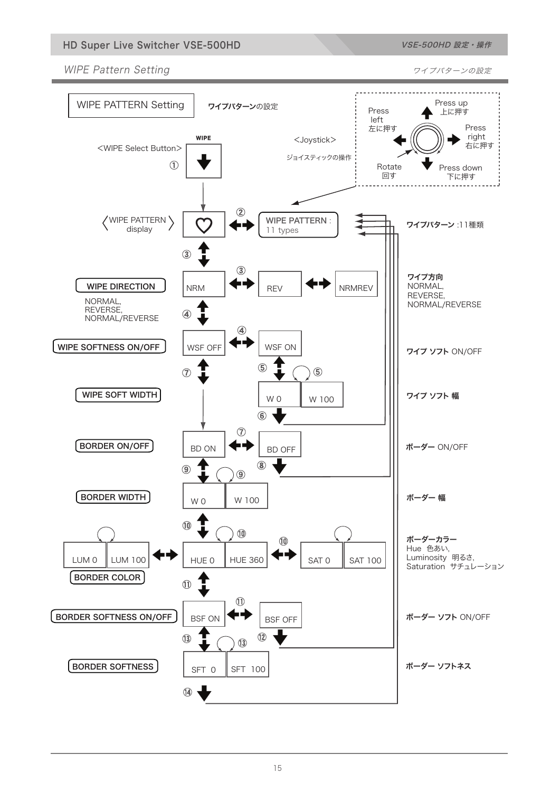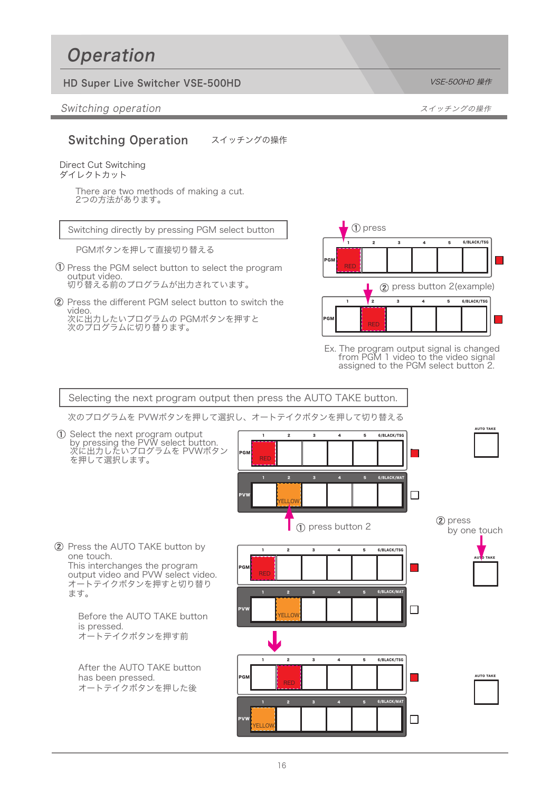# **Operation**

## HD Super Live Switcher VSE-500HD Note of the USE of the USE-500HD 操作

Switching operation スイッチングの操作

#### Switching Operation スイッチングの操作

#### Direct Cut Switching ダイレクトカット

There are two methods of making a cut. 2つの方法があります。

Switching directly by pressing PGM select button

PGMボタンを押して直接切り替える

- $\overline{0}$  Press the PGM select button to select the program output video. 切り替える前のプログラムが出力されています。
- 2 Press the different PGM select button to switch the video. 次に出力したいプログラムの PGMボタンを押すと 次のプログラムに切り替ります。



Ex. The program output signal is changed from PGM 1 video to the video signal assigned to the PGM select button 2.

Selecting the next program output then press the AUTO TAKE button.

次のプログラムを PVWボタンを押して選択し、オートテイクボタンを押して切り替える

AUTO TAKE 2 3 4 5 6/BLACK/TSG Select the next program output by pressing the PVW select button. 次に出力したいプログラムを PVWボタン PGM を押して選択します。 1 2 3 4 5 6/BLACK/MAT  $\Box$ PVW YELLOW (2) press н press button 2 by one touch 2 Press the AUTO TAKE button by 1 2 3 4 5 6/BLACK/TSG one touch. AUTO TAKE This interchanges the program **The State** PGM output video and PVW select video. オートテイクボタンを押すと切り替り 1 2 3 4 5 6/BLACK/MAT ます。  $\Box$ PVW Before the AUTO TAKE button YELLOW is pressed. オートテイクボタンを押す前 1 2 3 4 5 6/BLACK/TSG After the AUTO TAKE button has been pressed. I. AUTO TAKE PGM オートテイクボタンを押した後 2 3 4 5 6/BLACK/MAT  $\Box$ PVW YELLOW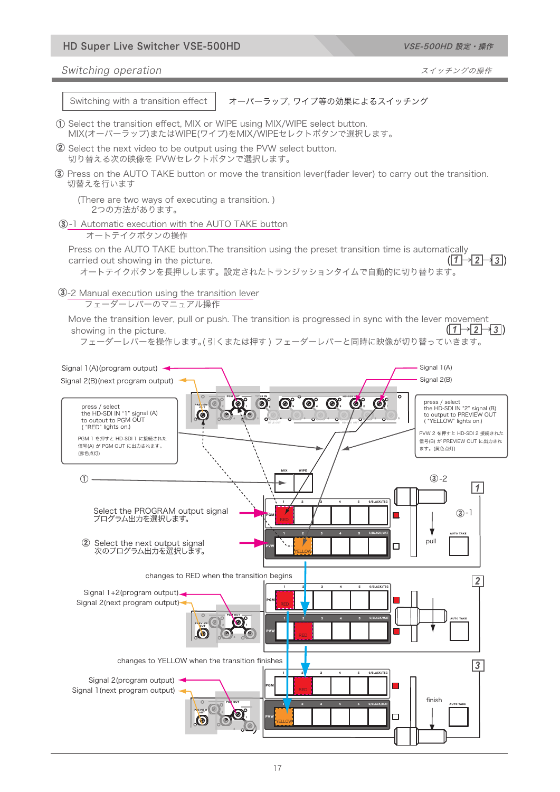#### HD Super Live Switcher VSE-500HD VSE-500HD VSE-500HD 設定・操作

Switching operation スイッチングの操作

Switching with a transition effect

オーバーラップ, ワイプ等の効果によるスイッチング

- Select the transition effect, MIX or WIPE using MIX/WIPE select button. MIX(オーバーラップ)またはWIPE(ワイプ)をMIX/WIPEセレクトボタンで選択します。
- 2 Select the next video to be output using the PVW select button. 切り替える次の映像を PVWセレクトボタンで選択します。
- 3) Press on the AUTO TAKE button or move the transition lever(fader lever) to carry out the transition. 切替えを行います
	- (There are two ways of executing a transition. ) 2つの方法があります。

-1 Automatic execution with the AUTO TAKE button

オートテイクボタンの操作

Press on the AUTO TAKE button.The transition using the preset transition time is automatically carried out showing in the picture. オートテイクボタンを長押しします。設定されたトランジッションタイムで自動的に切り替ります。  $(1 \rightarrow 2 \rightarrow 3)$ 

-2 Manual execution using the transition lever

フェーダーレバーのマニュアル操作

Move the transition lever, pull or push. The transition is progressed in sync with the lever movement showing in the picture.  $(|1 \rightarrow 2 \rightarrow 3|)$ 

フェーダーレバーを操作します。( 引くまたは押す ) フェーダーレバーと同時に映像が切り替っていきます。

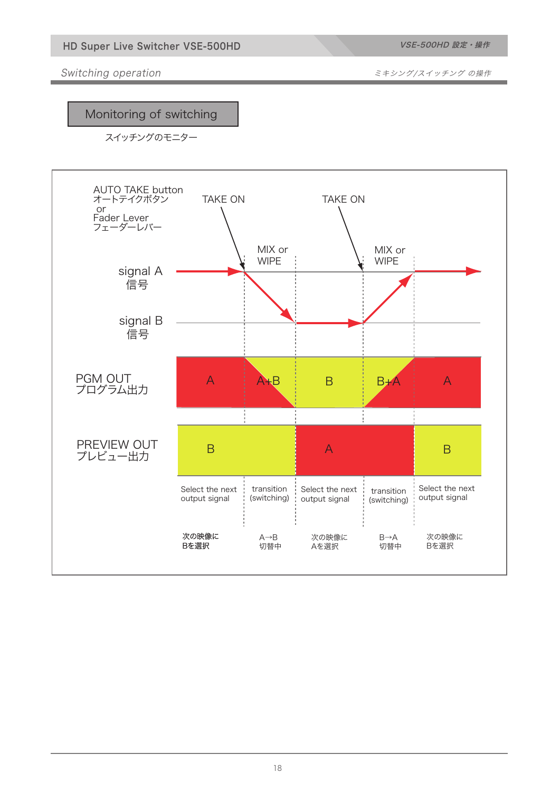VSE-500HD 設定・操作

Switching operation **Substitute in the State of the Switching operation** ミキシング/スイッチング の操作

## Monitoring of switching

スイッチングのモニター

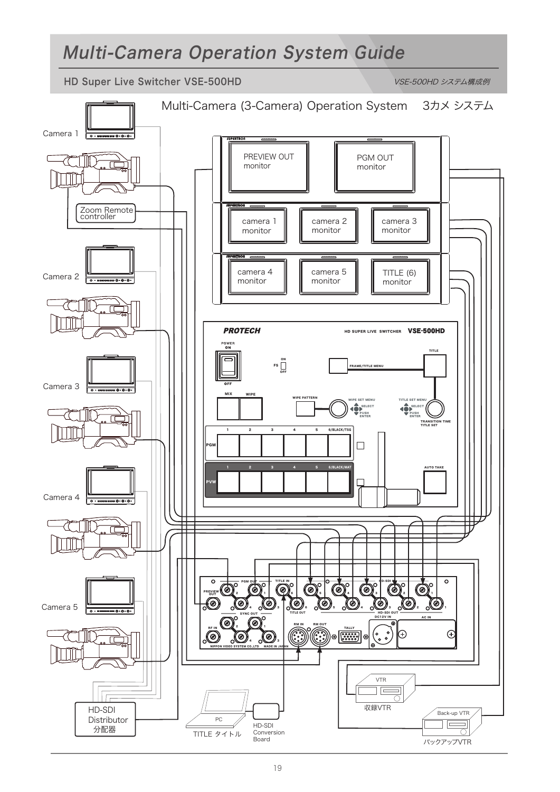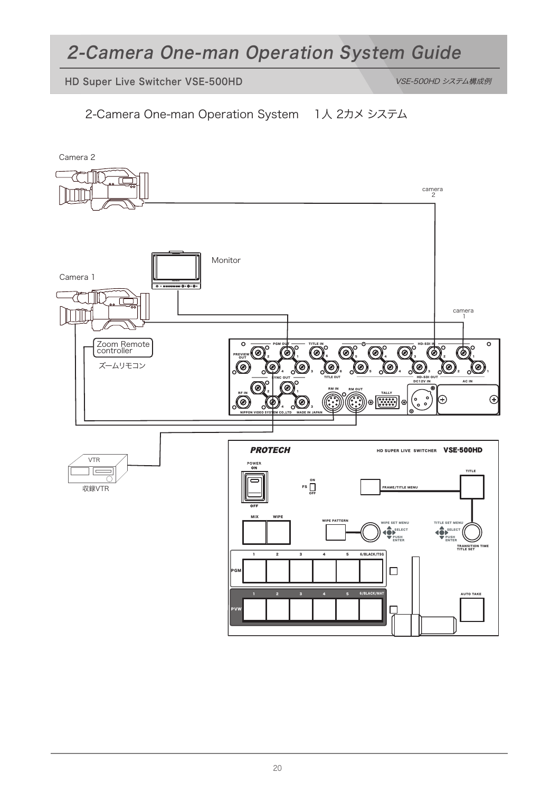# 2-Camera One-man Operation System Guide

HD Super Live Switcher VSE-500HD VSE-500HD VSE-500HD システム構成例

2-Camera One-man Operation System 1人 2カメ システム

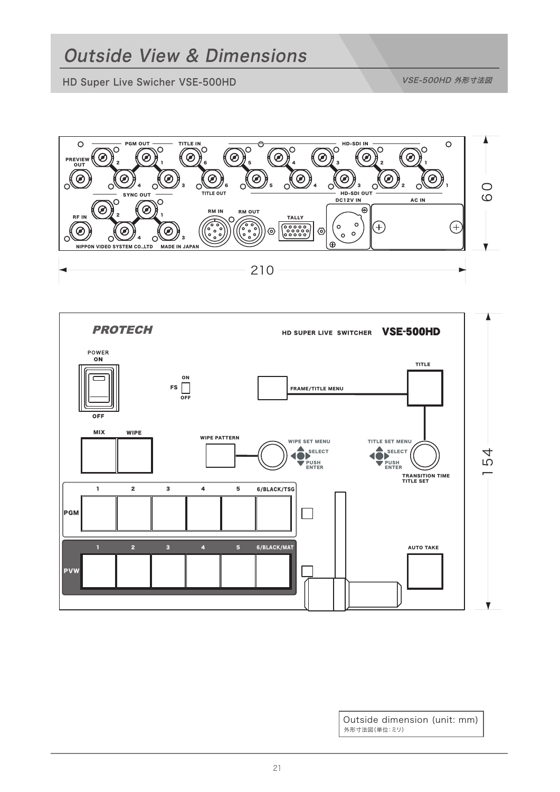HD Super Live Swicher VSE-500HD VSE-500HD VSE-500HD 外形寸法図





外形寸法図(単位:ミリ) Outside dimension (unit: mm)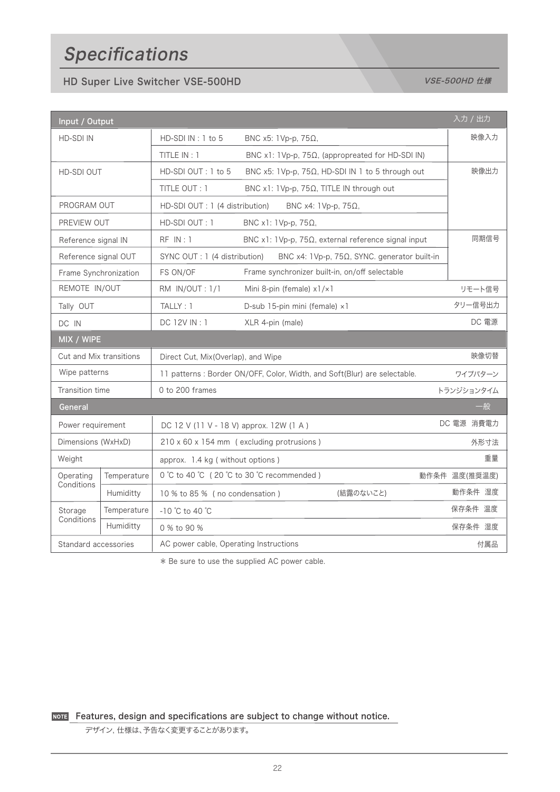# Specifications

## HD Super Live Switcher VSE-500HD Note of the USE of the USE-500HD de WSE-500HD de Manual De VSE-500HD de Manua

| 入力 / 出力<br>Input / Output |             |                                                                           |                                                              |               |  |  |
|---------------------------|-------------|---------------------------------------------------------------------------|--------------------------------------------------------------|---------------|--|--|
| <b>HD-SDI IN</b>          |             | HD-SDI IN: 1 to 5                                                         | BNC $x5$ : 1Vp-p, 75 $\Omega$ ,                              | 映像入力          |  |  |
|                           |             | TITLE IN: 1                                                               | BNC x1: 1Vp-p, 75Ω, (appropreated for HD-SDI IN)             |               |  |  |
| HD-SDI OUT                |             | HD-SDI OUT: 1 to 5                                                        | BNC x5: 1Vp-p, 75Ω, HD-SDI IN 1 to 5 through out             | 映像出力          |  |  |
|                           |             | TITLE OUT: 1                                                              | BNC x1: 1Vp-p, 75Ω, TITLE IN through out                     |               |  |  |
| PROGRAM OUT               |             | HD-SDI OUT : 1 (4 distribution)                                           |                                                              |               |  |  |
| PREVIEW OUT               |             | HD-SDI OUT: 1                                                             | BNC x1: 1Vp-p, 75Ω,                                          |               |  |  |
| Reference signal IN       |             | RF IN:1                                                                   | BNC x1: 1Vp-p, 75 $\Omega$ , external reference signal input | 同期信号          |  |  |
| Reference signal OUT      |             | SYNC OUT : 1 (4 distribution)                                             | BNC x4: 1Vp-p, 75Ω, SYNC. generator built-in                 |               |  |  |
| Frame Synchronization     |             | FS ON/OF                                                                  | Frame synchronizer built-in, on/off selectable               |               |  |  |
| REMOTE IN/OUT             |             | RM IN/OUT: 1/1                                                            | Mini 8-pin (female) x1/x1                                    | リモート信号        |  |  |
| Tally OUT                 |             | TALLY: 1                                                                  | D-sub 15-pin mini (female) x1                                | タリー信号出力       |  |  |
| DC IN                     |             | DC 12V IN: 1                                                              | XLR 4-pin (male)                                             | DC 電源         |  |  |
| MIX / WIPE                |             |                                                                           |                                                              |               |  |  |
| Cut and Mix transitions   |             | Direct Cut, Mix(Overlap), and Wipe                                        |                                                              | 映像切替          |  |  |
| Wipe patterns             |             | 11 patterns : Border ON/OFF, Color, Width, and Soft(Blur) are selectable. |                                                              | ワイプパターン       |  |  |
| Transition time           |             | 0 to 200 frames                                                           |                                                              | トランジションタイム    |  |  |
| General<br>一般             |             |                                                                           |                                                              |               |  |  |
| Power requirement         |             | DC 12 V (11 V - 18 V) approx. 12W (1 A)                                   |                                                              | DC 電源 消費電力    |  |  |
| Dimensions (WxHxD)        |             | 210 x 60 x 154 mm (excluding protrusions)                                 |                                                              | 外形寸法          |  |  |
| Weight                    |             | approx. 1.4 kg (without options)                                          |                                                              | 重量            |  |  |
| Operating<br>Conditions   | Temperature | 0 °C to 40 °C (20 °C to 30 °C recommended)                                |                                                              | 動作条件 温度(推奨温度) |  |  |
|                           | Humiditty   | 10 % to 85 % (no condensation)                                            | (結露のないこと)                                                    | 動作条件 湿度       |  |  |
| Storage<br>Conditions     | Temperature | $-10$ °C to 40 °C                                                         |                                                              | 保存条件 温度       |  |  |
|                           | Humiditty   | 0 % to 90 %                                                               |                                                              | 保存条件 湿度       |  |  |
| Standard accessories      |             | AC power cable, Operating Instructions                                    |                                                              | 付属品           |  |  |

\* Be sure to use the supplied AC power cable.

**NOTE** Features, design and specifications are subject to change without notice.

デザイン, 仕様は、予告なく変更することがあります。